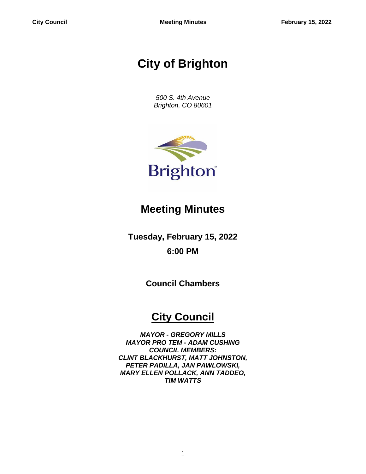# **City of Brighton**

*500 S. 4th Avenue Brighton, CO 80601*



## **Meeting Minutes**

**Tuesday, February 15, 2022 6:00 PM**

**Council Chambers**

## **City Council**

*MAYOR - GREGORY MILLS MAYOR PRO TEM - ADAM CUSHING COUNCIL MEMBERS: CLINT BLACKHURST, MATT JOHNSTON, PETER PADILLA, JAN PAWLOWSKI, MARY ELLEN POLLACK, ANN TADDEO, TIM WATTS*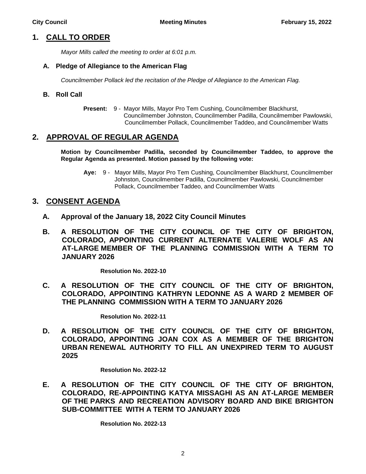## **1. CALL TO ORDER**

*Mayor Mills called the meeting to order at 6:01 p.m.*

#### **A. Pledge of Allegiance to the American Flag**

*Councilmember Pollack led the recitation of the Pledge of Allegiance to the American Flag.*

#### **B. Roll Call**

**Present:** 9 - Mayor Mills, Mayor Pro Tem Cushing, Councilmember Blackhurst, Councilmember Johnston, Councilmember Padilla, Councilmember Pawlowski, Councilmember Pollack, Councilmember Taddeo, and Councilmember Watts

## **2. APPROVAL OF REGULAR AGENDA**

**Motion by Councilmember Padilla, seconded by Councilmember Taddeo, to approve the Regular Agenda as presented. Motion passed by the following vote:**

**Aye:** 9 - Mayor Mills, Mayor Pro Tem Cushing, Councilmember Blackhurst, Councilmember Johnston, Councilmember Padilla, Councilmember Pawlowski, Councilmember Pollack, Councilmember Taddeo, and Councilmember Watts

## **3. CONSENT AGENDA**

- **A. Approval of the January 18, 2022 City Council Minutes**
- **B. A RESOLUTION OF THE CITY COUNCIL OF THE CITY OF BRIGHTON, COLORADO, APPOINTING CURRENT ALTERNATE VALERIE WOLF AS AN AT-LARGE MEMBER OF THE PLANNING COMMISSION WITH A TERM TO JANUARY 2026**

**Resolution No. 2022-10**

**C. A RESOLUTION OF THE CITY COUNCIL OF THE CITY OF BRIGHTON, COLORADO, APPOINTING KATHRYN LEDONNE AS A WARD 2 MEMBER OF THE PLANNING COMMISSION WITH A TERM TO JANUARY 2026**

**Resolution No. 2022-11**

**D. A RESOLUTION OF THE CITY COUNCIL OF THE CITY OF BRIGHTON, COLORADO, APPOINTING JOAN COX AS A MEMBER OF THE BRIGHTON URBAN RENEWAL AUTHORITY TO FILL AN UNEXPIRED TERM TO AUGUST 2025**

**Resolution No. 2022-12**

**E. A RESOLUTION OF THE CITY COUNCIL OF THE CITY OF BRIGHTON, COLORADO, RE-APPOINTING KATYA MISSAGHI AS AN AT-LARGE MEMBER OF THE PARKS AND RECREATION ADVISORY BOARD AND BIKE BRIGHTON SUB-COMMITTEE WITH A TERM TO JANUARY 2026**

**Resolution No. 2022-13**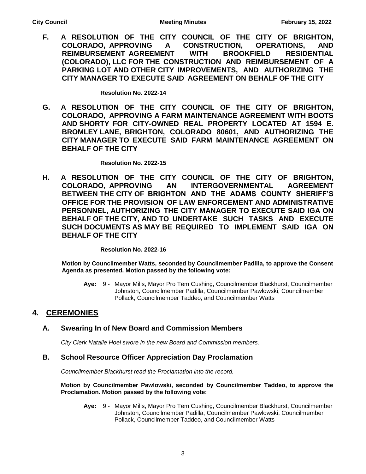**F. A RESOLUTION OF THE CITY COUNCIL OF THE CITY OF BRIGHTON, COLORADO, APPROVING A CONSTRUCTION, OPERATIONS, AND REIMBURSEMENT AGREEMENT WITH BROOKFIELD RESIDENTIAL (COLORADO), LLC FOR THE CONSTRUCTION AND REIMBURSEMENT OF A PARKING LOT AND OTHER CITY IMPROVEMENTS, AND AUTHORIZING THE CITY MANAGER TO EXECUTE SAID AGREEMENT ON BEHALF OF THE CITY**

**Resolution No. 2022-14**

**G. A RESOLUTION OF THE CITY COUNCIL OF THE CITY OF BRIGHTON, COLORADO, APPROVING A FARM MAINTENANCE AGREEMENT WITH BOOTS AND SHORTY FOR CITY-OWNED REAL PROPERTY LOCATED AT 1594 E. BROMLEY LANE, BRIGHTON, COLORADO 80601, AND AUTHORIZING THE CITY MANAGER TO EXECUTE SAID FARM MAINTENANCE AGREEMENT ON BEHALF OF THE CITY**

**Resolution No. 2022-15**

**H. A RESOLUTION OF THE CITY COUNCIL OF THE CITY OF BRIGHTON, COLORADO, APPROVING AN INTERGOVERNMENTAL AGREEMENT BETWEEN THE CITY OF BRIGHTON AND THE ADAMS COUNTY SHERIFF'S OFFICE FOR THE PROVISION OF LAW ENFORCEMENT AND ADMINISTRATIVE PERSONNEL, AUTHORIZING THE CITY MANAGER TO EXECUTE SAID IGA ON BEHALF OF THE CITY, AND TO UNDERTAKE SUCH TASKS AND EXECUTE SUCH DOCUMENTS AS MAY BE REQUIRED TO IMPLEMENT SAID IGA ON BEHALF OF THE CITY**

**Resolution No. 2022-16**

**Motion by Councilmember Watts, seconded by Councilmember Padilla, to approve the Consent Agenda as presented. Motion passed by the following vote:**

**Aye:** 9 - Mayor Mills, Mayor Pro Tem Cushing, Councilmember Blackhurst, Councilmember Johnston, Councilmember Padilla, Councilmember Pawlowski, Councilmember Pollack, Councilmember Taddeo, and Councilmember Watts

## **4. CEREMONIES**

## **A. Swearing In of New Board and Commission Members**

*City Clerk Natalie Hoel swore in the new Board and Commission members.*

### **B. School Resource Officer Appreciation Day Proclamation**

*Councilmember Blackhurst read the Proclamation into the record.*

#### **Motion by Councilmember Pawlowski, seconded by Councilmember Taddeo, to approve the Proclamation. Motion passed by the following vote:**

**Aye:** 9 - Mayor Mills, Mayor Pro Tem Cushing, Councilmember Blackhurst, Councilmember Johnston, Councilmember Padilla, Councilmember Pawlowski, Councilmember Pollack, Councilmember Taddeo, and Councilmember Watts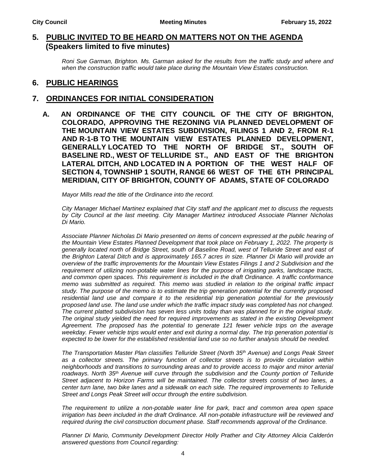## **5. PUBLIC INVITED TO BE HEARD ON MATTERS NOT ON THE AGENDA (Speakers limited to five minutes)**

*Roni Sue Garman, Brighton. Ms. Garman asked for the results from the traffic study and where and when the construction traffic would take place during the Mountain View Estates construction.*

## **6. PUBLIC HEARINGS**

#### **7. ORDINANCES FOR INITIAL CONSIDERATION**

**A. AN ORDINANCE OF THE CITY COUNCIL OF THE CITY OF BRIGHTON, COLORADO, APPROVING THE REZONING VIA PLANNED DEVELOPMENT OF THE MOUNTAIN VIEW ESTATES SUBDIVISION, FILINGS 1 AND 2, FROM R-1 AND R-1-B TO THE MOUNTAIN VIEW ESTATES PLANNED DEVELOPMENT, GENERALLY LOCATED TO THE NORTH OF BRIDGE ST., SOUTH OF BASELINE RD., WEST OF TELLURIDE ST., AND EAST OF THE BRIGHTON LATERAL DITCH, AND LOCATED IN A PORTION OF THE WEST HALF OF SECTION 4, TOWNSHIP 1 SOUTH, RANGE 66 WEST OF THE 6TH PRINCIPAL MERIDIAN, CITY OF BRIGHTON, COUNTY OF ADAMS, STATE OF COLORADO**

*Mayor Mills read the title of the Ordinance into the record.*

*City Manager Michael Martinez explained that City staff and the applicant met to discuss the requests by City Council at the last meeting. City Manager Martinez introduced Associate Planner Nicholas Di Mario.* 

*Associate Planner Nicholas Di Mario presented on items of concern expressed at the public hearing of the Mountain View Estates Planned Development that took place on February 1, 2022. The property is generally located north of Bridge Street, south of Baseline Road, west of Telluride Street and east of the Brighton Lateral Ditch and is approximately 165.7 acres in size. Planner Di Mario will provide an overview of the traffic improvements for the Mountain View Estates Filings 1 and 2 Subdivision and the requirement of utilizing non-potable water lines for the purpose of irrigating parks, landscape tracts, and common open spaces. This requirement is included in the draft Ordinance. A traffic conformance memo was submitted as required. This memo was studied in relation to the original traffic impact study. The purpose of the memo is to estimate the trip generation potential for the currently proposed*  residential land use and compare it to the residential trip generation potential for the previously *proposed land use. The land use under which the traffic impact study was completed has not changed. The current platted subdivision has seven less units today than was planned for in the original study. The original study yielded the need for required improvements as stated in the existing Development Agreement. The proposed has the potential to generate 121 fewer vehicle trips on the average weekday. Fewer vehicle trips would enter and exit during a normal day. The trip generation potential is expected to be lower for the established residential land use so no further analysis should be needed.* 

*The Transportation Master Plan classifies Telluride Street (North 35th Avenue) and Longs Peak Street as a collector streets. The primary function of collector streets is to provide circulation within neighborhoods and transitions to surrounding areas and to provide access to major and minor arterial roadways. North 35th Avenue will curve through the subdivision and the County portion of Telluride Street adjacent to Horizon Farms will be maintained. The collector streets consist of two lanes, a center turn lane, two bike lanes and a sidewalk on each side. The required improvements to Telluride Street and Longs Peak Street will occur through the entire subdivision.* 

*The requirement to utilize a non-potable water line for park, tract and common area open space irrigation has been included in the draft Ordinance. All non-potable infrastructure will be reviewed and required during the civil construction document phase. Staff recommends approval of the Ordinance.* 

*Planner Di Mario, Community Development Director Holly Prather and City Attorney Alicia Calderón answered questions from Council regarding:*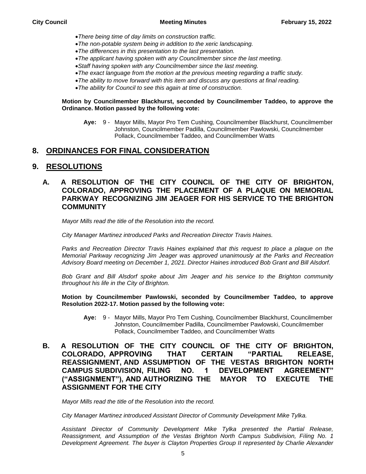- *There being time of day limits on construction traffic.*
- *The non-potable system being in addition to the xeric landscaping.*
- *The differences in this presentation to the last presentation.*
- *The applicant having spoken with any Councilmember since the last meeting.*
- *Staff having spoken with any Councilmember since the last meeting.*
- *The exact language from the motion at the previous meeting regarding a traffic study.*
- *The ability to move forward with this item and discuss any questions at final reading.*
- *The ability for Council to see this again at time of construction.*

#### **Motion by Councilmember Blackhurst, seconded by Councilmember Taddeo, to approve the Ordinance. Motion passed by the following vote:**

**Aye:** 9 - Mayor Mills, Mayor Pro Tem Cushing, Councilmember Blackhurst, Councilmember Johnston, Councilmember Padilla, Councilmember Pawlowski, Councilmember Pollack, Councilmember Taddeo, and Councilmember Watts

## **8. ORDINANCES FOR FINAL CONSIDERATION**

### **9. RESOLUTIONS**

### **A. A RESOLUTION OF THE CITY COUNCIL OF THE CITY OF BRIGHTON, COLORADO, APPROVING THE PLACEMENT OF A PLAQUE ON MEMORIAL PARKWAY RECOGNIZING JIM JEAGER FOR HIS SERVICE TO THE BRIGHTON COMMUNITY**

*Mayor Mills read the title of the Resolution into the record.*

*City Manager Martinez introduced Parks and Recreation Director Travis Haines.*

Parks and Recreation Director Travis Haines explained that this request to place a plaque on the *Memorial Parkway recognizing Jim Jeager was approved unanimously at the Parks and Recreation Advisory Board meeting on December 1, 2021. Director Haines introduced Bob Grant and Bill Alsdorf.* 

*Bob Grant and Bill Alsdorf spoke about Jim Jeager and his service to the Brighton community throughout his life in the City of Brighton.*

**Motion by Councilmember Pawlowski, seconded by Councilmember Taddeo, to approve Resolution 2022-17. Motion passed by the following vote:**

- **Aye:** 9 Mayor Mills, Mayor Pro Tem Cushing, Councilmember Blackhurst, Councilmember Johnston, Councilmember Padilla, Councilmember Pawlowski, Councilmember Pollack, Councilmember Taddeo, and Councilmember Watts
- **B. A RESOLUTION OF THE CITY COUNCIL OF THE CITY OF BRIGHTON, COLORADO, APPROVING THAT CERTAIN "PARTIAL RELEASE, REASSIGNMENT, AND ASSUMPTION OF THE VESTAS BRIGHTON NORTH CAMPUS SUBDIVISION, FILING NO. 1 DEVELOPMENT AGREEMENT" ("ASSIGNMENT"), AND AUTHORIZING THE MAYOR TO EXECUTE THE ASSIGNMENT FOR THE CITY**

*Mayor Mills read the title of the Resolution into the record.*

*City Manager Martinez introduced Assistant Director of Community Development Mike Tylka.*

*Assistant Director of Community Development Mike Tylka presented the Partial Release, Reassignment, and Assumption of the Vestas Brighton North Campus Subdivision, Filing No. 1 Development Agreement. The buyer is Clayton Properties Group II represented by Charlie Alexander*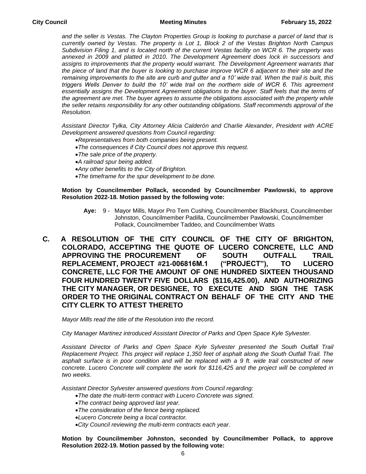*and the seller is Vestas. The Clayton Properties Group is looking to purchase a parcel of land that is currently owned by Vestas. The property is Lot 1, Block 2 of the Vestas Brighton North Campus Subdivision Filing 1, and is located north of the current Vestas facility on WCR 6. The property was annexed in 2009 and platted in 2010. The Development Agreement does lock in successors and assigns to improvements that the property would warrant. The Development Agreement warrants that the piece of land that the buyer is looking to purchase improve WCR 6 adjacent to their site and the remaining improvements to the site are curb and gutter and a 10' wide trail. When the trail is built, this triggers Wells Denver to build the 10' wide trail on the northern side of WCR 6. This agreement essentially assigns the Development Agreement obligations to the buyer. Staff feels that the terms of*  the agreement are met. The buyer agrees to assume the obligations associated with the property while *the seller retains responsibility for any other outstanding obligations. Staff recommends approval of the Resolution.* 

*Assistant Director Tylka, City Attorney Alicia Calderón and Charlie Alexander, President with ACRE Development answered questions from Council regarding:*

- *Representatives from both companies being present.*
- *The consequences if City Council does not approve this request.*
- *The sale price of the property.*
- *A railroad spur being added.*
- *Any other benefits to the City of Brighton.*
- *The timeframe for the spur development to be done.*

#### **Motion by Councilmember Pollack, seconded by Councilmember Pawlowski, to approve Resolution 2022-18. Motion passed by the following vote:**

- **Aye:** 9 Mayor Mills, Mayor Pro Tem Cushing, Councilmember Blackhurst, Councilmember Johnston, Councilmember Padilla, Councilmember Pawlowski, Councilmember Pollack, Councilmember Taddeo, and Councilmember Watts
- **C. A RESOLUTION OF THE CITY COUNCIL OF THE CITY OF BRIGHTON, COLORADO, ACCEPTING THE QUOTE OF LUCERO CONCRETE, LLC AND APPROVING THE PROCUREMENT OF SOUTH OUTFALL TRAIL REPLACEMENT, PROJECT #21-006816M.1 ("PROJECT"), TO LUCERO CONCRETE, LLC FOR THE AMOUNT OF ONE HUNDRED SIXTEEN THOUSAND FOUR HUNDRED TWENTY FIVE DOLLARS (\$116,425.00), AND AUTHORIZING THE CITY MANAGER, OR DESIGNEE, TO EXECUTE AND SIGN THE TASK ORDER TO THE ORIGINAL CONTRACT ON BEHALF OF THE CITY AND THE CITY CLERK TO ATTEST THERETO**

*Mayor Mills read the title of the Resolution into the record.*

*City Manager Martinez introduced Assistant Director of Parks and Open Space Kyle Sylvester.*

*Assistant Director of Parks and Open Space Kyle Sylvester presented the South Outfall Trail Replacement Project. This project will replace 1,350 feet of asphalt along the South Outfall Trail. The asphalt surface is in poor condition and will be replaced with a 9 ft. wide trail constructed of new concrete. Lucero Concrete will complete the work for \$116,425 and the project will be completed in two weeks.*

*Assistant Director Sylvester answered questions from Council regarding:*

- *The date the multi-term contract with Lucero Concrete was signed.*
- *The contract being approved last year.*
- *The consideration of the fence being replaced.*
- *Lucero Concrete being a local contractor.*
- *City Council reviewing the multi-term contracts each year.*

**Motion by Councilmember Johnston, seconded by Councilmember Pollack, to approve Resolution 2022-19. Motion passed by the following vote:**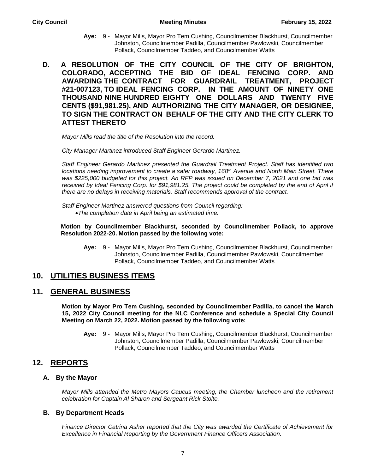- **Aye:** 9 Mayor Mills, Mayor Pro Tem Cushing, Councilmember Blackhurst, Councilmember Johnston, Councilmember Padilla, Councilmember Pawlowski, Councilmember Pollack, Councilmember Taddeo, and Councilmember Watts
- **D. A RESOLUTION OF THE CITY COUNCIL OF THE CITY OF BRIGHTON, COLORADO, ACCEPTING THE BID OF IDEAL FENCING CORP. AND AWARDING THE CONTRACT FOR GUARDRAIL TREATMENT, PROJECT #21-007123, TO IDEAL FENCING CORP. IN THE AMOUNT OF NINETY ONE THOUSAND NINE HUNDRED EIGHTY ONE DOLLARS AND TWENTY FIVE CENTS (\$91,981.25), AND AUTHORIZING THE CITY MANAGER, OR DESIGNEE, TO SIGN THE CONTRACT ON BEHALF OF THE CITY AND THE CITY CLERK TO ATTEST THERETO**

*Mayor Mills read the title of the Resolution into the record.*

*City Manager Martinez introduced Staff Engineer Gerardo Martinez.*

*Staff Engineer Gerardo Martinez presented the Guardrail Treatment Project. Staff has identified two locations needing improvement to create a safer roadway, 168th Avenue and North Main Street. There was \$225,000 budgeted for this project. An RFP was issued on December 7, 2021 and one bid was*  received by Ideal Fencing Corp. for \$91,981.25. The project could be completed by the end of April if *there are no delays in receiving materials. Staff recommends approval of the contract.* 

*Staff Engineer Martinez answered questions from Council regarding: The completion date in April being an estimated time.*

**Motion by Councilmember Blackhurst, seconded by Councilmember Pollack, to approve Resolution 2022-20. Motion passed by the following vote:**

**Aye:** 9 - Mayor Mills, Mayor Pro Tem Cushing, Councilmember Blackhurst, Councilmember Johnston, Councilmember Padilla, Councilmember Pawlowski, Councilmember Pollack, Councilmember Taddeo, and Councilmember Watts

### **10. UTILITIES BUSINESS ITEMS**

#### **11. GENERAL BUSINESS**

**Motion by Mayor Pro Tem Cushing, seconded by Councilmember Padilla, to cancel the March 15, 2022 City Council meeting for the NLC Conference and schedule a Special City Council Meeting on March 22, 2022. Motion passed by the following vote:**

**Aye:** 9 - Mayor Mills, Mayor Pro Tem Cushing, Councilmember Blackhurst, Councilmember Johnston, Councilmember Padilla, Councilmember Pawlowski, Councilmember Pollack, Councilmember Taddeo, and Councilmember Watts

## **12. REPORTS**

#### **A. By the Mayor**

*Mayor Mills attended the Metro Mayors Caucus meeting, the Chamber luncheon and the retirement celebration for Captain Al Sharon and Sergeant Rick Stolte.*

#### **B. By Department Heads**

*Finance Director Catrina Asher reported that the City was awarded the Certificate of Achievement for Excellence in Financial Reporting by the Government Finance Officers Association.*